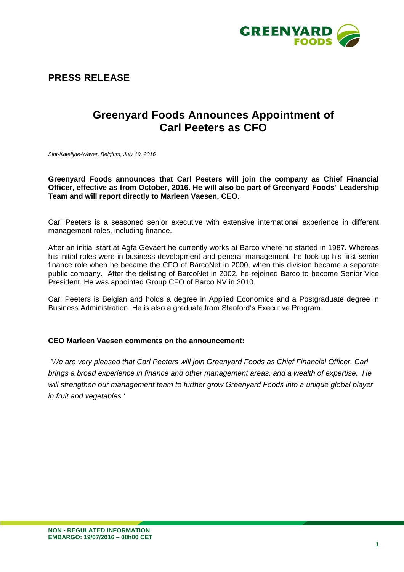

**PRESS RELEASE**

## **Greenyard Foods Announces Appointment of Carl Peeters as CFO**

*Sint-Katelijne-Waver, Belgium, July 19, 2016*

**Greenyard Foods announces that Carl Peeters will join the company as Chief Financial Officer, effective as from October, 2016. He will also be part of Greenyard Foods' Leadership Team and will report directly to Marleen Vaesen, CEO.**

Carl Peeters is a seasoned senior executive with extensive international experience in different management roles, including finance.

After an initial start at Agfa Gevaert he currently works at Barco where he started in 1987. Whereas his initial roles were in business development and general management, he took up his first senior finance role when he became the CFO of BarcoNet in 2000, when this division became a separate public company. After the delisting of BarcoNet in 2002, he rejoined Barco to become Senior Vice President. He was appointed Group CFO of Barco NV in 2010.

Carl Peeters is Belgian and holds a degree in Applied Economics and a Postgraduate degree in Business Administration. He is also a graduate from Stanford's Executive Program.

## **CEO Marleen Vaesen comments on the announcement:**

*'We are very pleased that Carl Peeters will join Greenyard Foods as Chief Financial Officer. Carl brings a broad experience in finance and other management areas, and a wealth of expertise. He will strengthen our management team to further grow Greenyard Foods into a unique global player in fruit and vegetables.'*